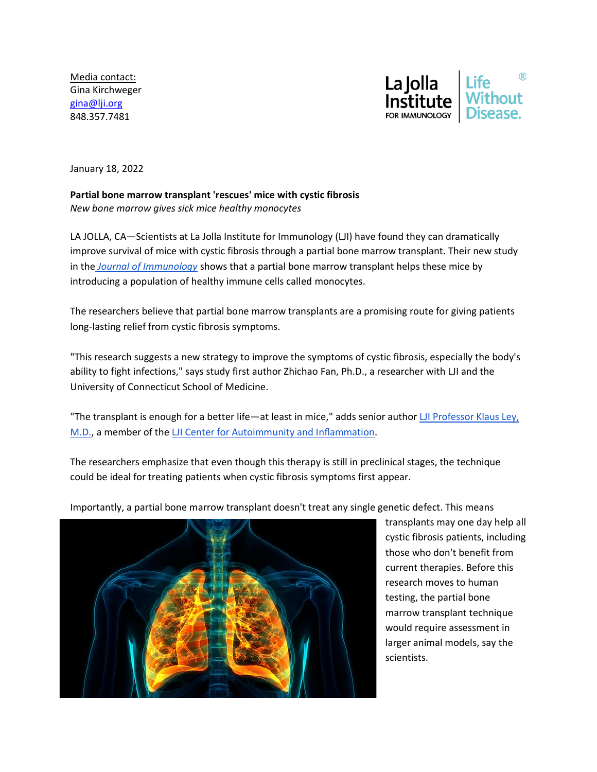Media contact: Gina Kirchweger [gina@lji.org](mailto:gina@lji.org) 848.357.7481



January 18, 2022

**Partial bone marrow transplant 'rescues' mice with cystic fibrosis** *New bone marrow gives sick mice healthy monocytes*

LA JOLLA, CA—Scientists at La Jolla Institute for Immunology (LJI) have found they can dramatically improve survival of mice with cystic fibrosis through a partial bone marrow transplant. Their new study in th[e](https://www.jimmunol.org/content/early/2022/01/07/jimmunol.1901171) *[Journal of Immunology](https://www.jimmunol.org/content/early/2022/01/07/jimmunol.1901171)* shows that a partial bone marrow transplant helps these mice by introducing a population of healthy immune cells called monocytes.

The researchers believe that partial bone marrow transplants are a promising route for giving patients long-lasting relief from cystic fibrosis symptoms.

"This research suggests a new strategy to improve the symptoms of cystic fibrosis, especially the body's ability to fight infections," says study first author Zhichao Fan, Ph.D., a researcher with LJI and the University of Connecticut School of Medicine.

"The transplant is enough for a better life—at least in mice," adds senior author [LJI Professor Klaus Ley,](https://www.lji.org/labs/ley/)  [M.D.,](https://www.lji.org/labs/ley/) a member of the [LJI Center for Autoimmunity and Inflammation.](https://www.lji.org/research/research-centers/center-for-autoimmunity-and-inflammation/)

The researchers emphasize that even though this therapy is still in preclinical stages, the technique could be ideal for treating patients when cystic fibrosis symptoms first appear.



Importantly, a partial bone marrow transplant doesn't treat any single genetic defect. This means

transplants may one day help all cystic fibrosis patients, including those who don't benefit from current therapies. Before this research moves to human testing, the partial bone marrow transplant technique would require assessment in larger animal models, say the scientists.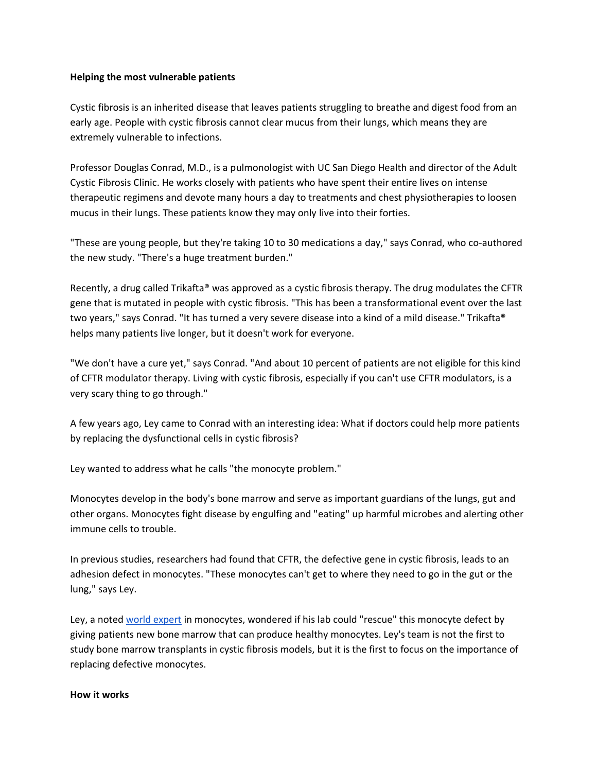## **Helping the most vulnerable patients**

Cystic fibrosis is an inherited disease that leaves patients struggling to breathe and digest food from an early age. People with cystic fibrosis cannot clear mucus from their lungs, which means they are extremely vulnerable to infections.

Professor Douglas Conrad, M.D., is a pulmonologist with UC San Diego Health and director of the Adult Cystic Fibrosis Clinic. He works closely with patients who have spent their entire lives on intense therapeutic regimens and devote many hours a day to treatments and chest physiotherapies to loosen mucus in their lungs. These patients know they may only live into their forties.

"These are young people, but they're taking 10 to 30 medications a day," says Conrad, who co-authored the new study. "There's a huge treatment burden."

Recently, a drug called Trikafta® was approved as a cystic fibrosis therapy. The drug modulates the CFTR gene that is mutated in people with cystic fibrosis. "This has been a transformational event over the last two years," says Conrad. "It has turned a very severe disease into a kind of a mild disease." Trikafta® helps many patients live longer, but it doesn't work for everyone.

"We don't have a cure yet," says Conrad. "And about 10 percent of patients are not eligible for this kind of CFTR modulator therapy. Living with cystic fibrosis, especially if you can't use CFTR modulators, is a very scary thing to go through."

A few years ago, Ley came to Conrad with an interesting idea: What if doctors could help more patients by replacing the dysfunctional cells in cystic fibrosis?

Ley wanted to address what he calls "the monocyte problem."

Monocytes develop in the body's bone marrow and serve as important guardians of the lungs, gut and other organs. Monocytes fight disease by engulfing and "eating" up harmful microbes and alerting other immune cells to trouble.

In previous studies, researchers had found that CFTR, the defective gene in cystic fibrosis, leads to an adhesion defect in monocytes. "These monocytes can't get to where they need to go in the gut or the lung," says Ley.

Ley, a noted [world expert](https://www.lji.org/blog/lynn-hedrick-and-klaus-ley-named-world-experts-in-monocyte-research/) in monocytes, wondered if his lab could "rescue" this monocyte defect by giving patients new bone marrow that can produce healthy monocytes. Ley's team is not the first to study bone marrow transplants in cystic fibrosis models, but it is the first to focus on the importance of replacing defective monocytes.

## **How it works**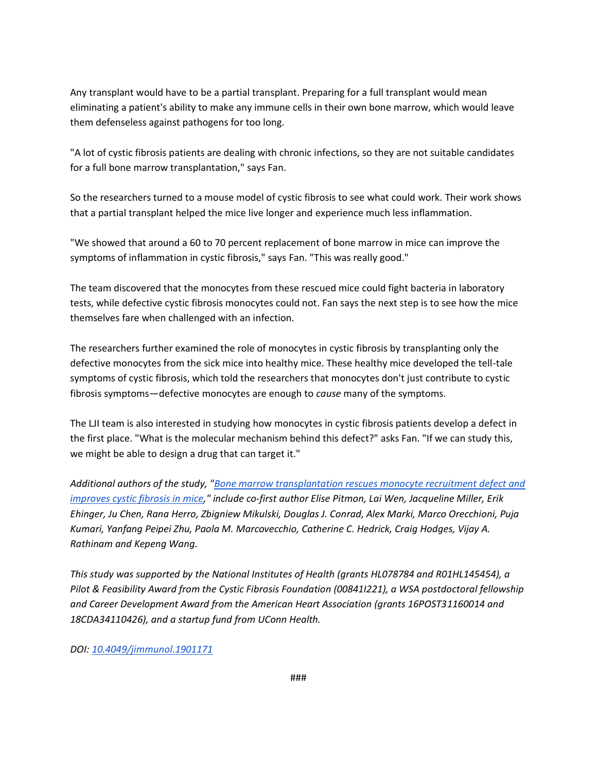Any transplant would have to be a partial transplant. Preparing for a full transplant would mean eliminating a patient's ability to make any immune cells in their own bone marrow, which would leave them defenseless against pathogens for too long.

"A lot of cystic fibrosis patients are dealing with chronic infections, so they are not suitable candidates for a full bone marrow transplantation," says Fan.

So the researchers turned to a mouse model of cystic fibrosis to see what could work. Their work shows that a partial transplant helped the mice live longer and experience much less inflammation.

"We showed that around a 60 to 70 percent replacement of bone marrow in mice can improve the symptoms of inflammation in cystic fibrosis," says Fan. "This was really good."

The team discovered that the monocytes from these rescued mice could fight bacteria in laboratory tests, while defective cystic fibrosis monocytes could not. Fan says the next step is to see how the mice themselves fare when challenged with an infection.

The researchers further examined the role of monocytes in cystic fibrosis by transplanting only the defective monocytes from the sick mice into healthy mice. These healthy mice developed the tell-tale symptoms of cystic fibrosis, which told the researchers that monocytes don't just contribute to cystic fibrosis symptoms—defective monocytes are enough to *cause* many of the symptoms.

The LJI team is also interested in studying how monocytes in cystic fibrosis patients develop a defect in the first place. "What is the molecular mechanism behind this defect?" asks Fan. "If we can study this, we might be able to design a drug that can target it."

*Additional authors of the study, ["Bone marrow transplantation rescues monocyte recruitment defect and](https://www.jimmunol.org/content/early/2022/01/07/jimmunol.1901171)  [improves cystic fibrosis in mice,](https://www.jimmunol.org/content/early/2022/01/07/jimmunol.1901171)" include co-first author Elise Pitmon, Lai Wen, Jacqueline Miller, Erik Ehinger, Ju Chen, Rana Herro, Zbigniew Mikulski, Douglas J. Conrad, Alex Marki, Marco Orecchioni, Puja Kumari, Yanfang Peipei Zhu, Paola M. Marcovecchio, Catherine C. Hedrick, Craig Hodges, Vijay A. Rathinam and Kepeng Wang.*

*This study was supported by the National Institutes of Health (grants HL078784 and R01HL145454), a Pilot & Feasibility Award from the Cystic Fibrosis Foundation (00841I221), a WSA postdoctoral fellowship and Career Development Award from the American Heart Association (grants 16POST31160014 and 18CDA34110426), and a startup fund from UConn Health.* 

*DOI: [10.4049/jimmunol.1901171](https://www.jimmunol.org/content/early/2022/01/07/jimmunol.1901171)*